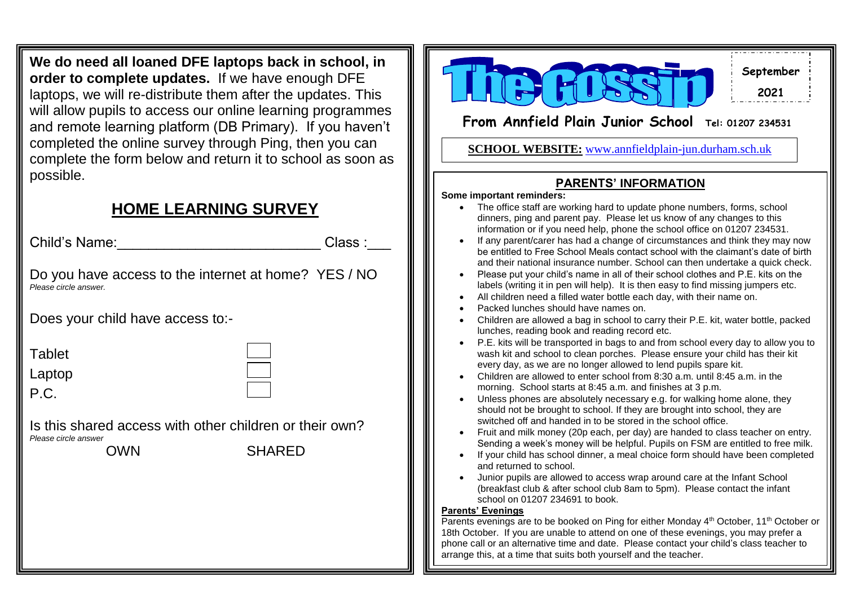**We do need all loaned DFE laptops back in school, in order to complete updates.** If we have enough DFE laptops, we will re-distribute them after the updates. This will allow pupils to access our online learning programmes and remote learning platform (DB Primary). If you haven't completed the online survey through Ping, then you can complete the form below and return it to school as soon as possible.

# **HOME LEARNING SURVEY**

 $\mathbf{W}$  is the  $\mathbf{W}$  -10-14th May  $\mathbf{W}$ Child's Name:\_\_\_\_\_\_\_\_\_\_\_\_\_\_\_\_\_\_\_\_\_\_\_\_\_\_\_\_\_\_\_\_\_Class :\_\_\_

Do you have access to the internet at home? YES / NO *Please circle answer.*

Does your child have access to:-

| able |
|------|
|------|

Laptop

P.C.

Is this shared access with other children or their own? *Please circle answer* OWN SHARED